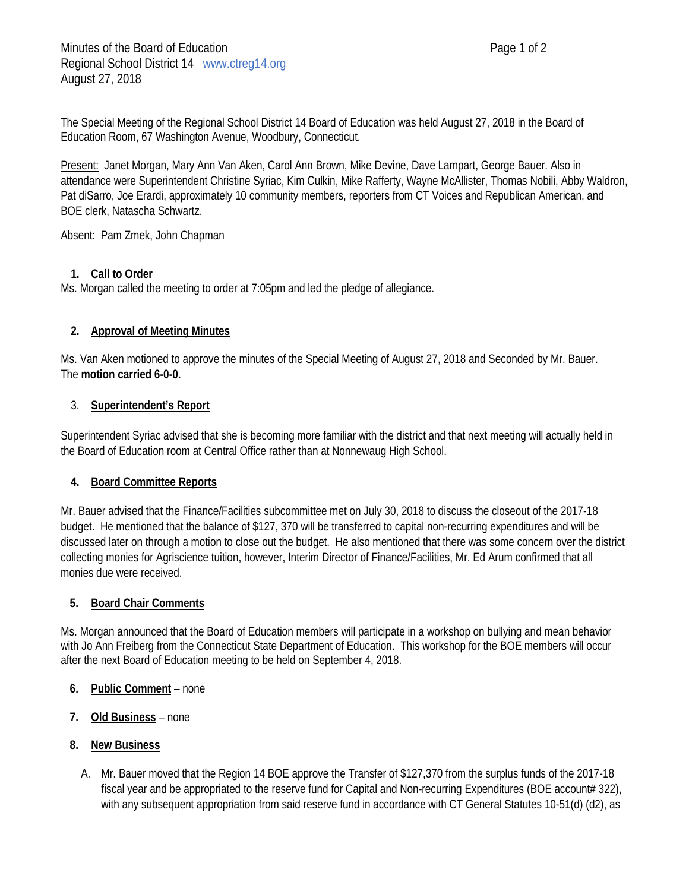The Special Meeting of the Regional School District 14 Board of Education was held August 27, 2018 in the Board of Education Room, 67 Washington Avenue, Woodbury, Connecticut.

Present: Janet Morgan, Mary Ann Van Aken, Carol Ann Brown, Mike Devine, Dave Lampart, George Bauer. Also in attendance were Superintendent Christine Syriac, Kim Culkin, Mike Rafferty, Wayne McAllister, Thomas Nobili, Abby Waldron, Pat diSarro, Joe Erardi, approximately 10 community members, reporters from CT Voices and Republican American, and BOE clerk, Natascha Schwartz.

Absent: Pam Zmek, John Chapman

# **1. Call to Order**

Ms. Morgan called the meeting to order at 7:05pm and led the pledge of allegiance.

# **2. Approval of Meeting Minutes**

Ms. Van Aken motioned to approve the minutes of the Special Meeting of August 27, 2018 and Seconded by Mr. Bauer. The **motion carried 6-0-0.**

### 3. **Superintendent's Report**

Superintendent Syriac advised that she is becoming more familiar with the district and that next meeting will actually held in the Board of Education room at Central Office rather than at Nonnewaug High School.

### **4. Board Committee Reports**

Mr. Bauer advised that the Finance/Facilities subcommittee met on July 30, 2018 to discuss the closeout of the 2017-18 budget. He mentioned that the balance of \$127, 370 will be transferred to capital non-recurring expenditures and will be discussed later on through a motion to close out the budget. He also mentioned that there was some concern over the district collecting monies for Agriscience tuition, however, Interim Director of Finance/Facilities, Mr. Ed Arum confirmed that all monies due were received.

### **5. Board Chair Comments**

Ms. Morgan announced that the Board of Education members will participate in a workshop on bullying and mean behavior with Jo Ann Freiberg from the Connecticut State Department of Education. This workshop for the BOE members will occur after the next Board of Education meeting to be held on September 4, 2018.

#### **6. Public Comment** – none

### **7. Old Business** – none

### **8. New Business**

A. Mr. Bauer moved that the Region 14 BOE approve the Transfer of \$127,370 from the surplus funds of the 2017-18 fiscal year and be appropriated to the reserve fund for Capital and Non-recurring Expenditures (BOE account# 322), with any subsequent appropriation from said reserve fund in accordance with CT General Statutes 10-51(d) (d2), as